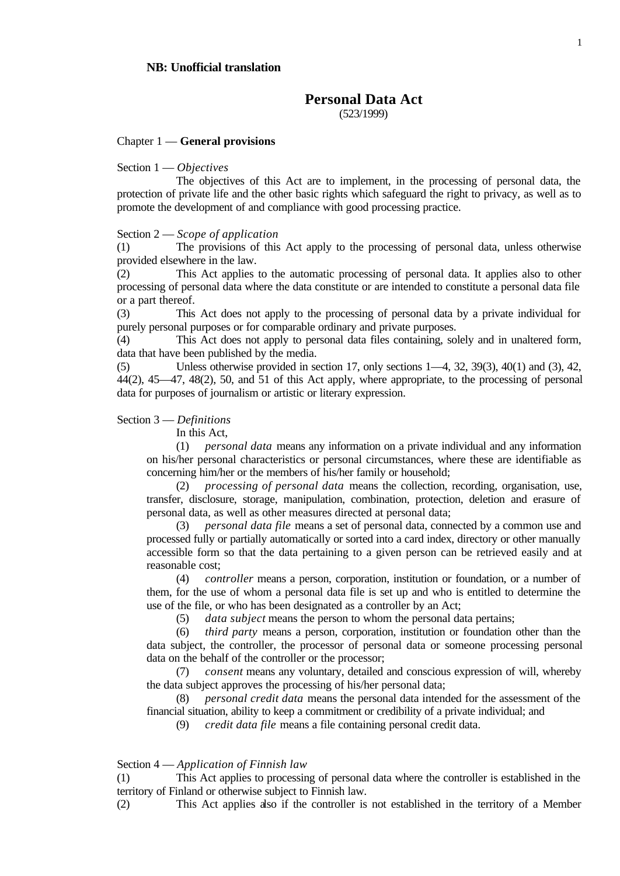# **Personal Data Act**

(523/1999)

#### Chapter 1 — **General provisions**

#### Section 1 — *Objectives*

The objectives of this Act are to implement, in the processing of personal data, the protection of private life and the other basic rights which safeguard the right to privacy, as well as to promote the development of and compliance with good processing practice.

#### Section 2 — *Scope of application*

(1) The provisions of this Act apply to the processing of personal data, unless otherwise provided elsewhere in the law.

(2) This Act applies to the automatic processing of personal data. It applies also to other processing of personal data where the data constitute or are intended to constitute a personal data file or a part thereof.

(3) This Act does not apply to the processing of personal data by a private individual for purely personal purposes or for comparable ordinary and private purposes.

(4) This Act does not apply to personal data files containing, solely and in unaltered form, data that have been published by the media.

(5) Unless otherwise provided in section 17, only sections 1—4, 32, 39(3), 40(1) and (3), 42, 44(2), 45—47, 48(2), 50, and 51 of this Act apply, where appropriate, to the processing of personal data for purposes of journalism or artistic or literary expression.

### Section 3 — *Definitions*

In this Act,

(1) *personal data* means any information on a private individual and any information on his/her personal characteristics or personal circumstances, where these are identifiable as concerning him/her or the members of his/her family or household;

(2) *processing of personal data* means the collection, recording, organisation, use, transfer, disclosure, storage, manipulation, combination, protection, deletion and erasure of personal data, as well as other measures directed at personal data;

(3) *personal data file* means a set of personal data, connected by a common use and processed fully or partially automatically or sorted into a card index, directory or other manually accessible form so that the data pertaining to a given person can be retrieved easily and at reasonable cost;

(4) *controller* means a person, corporation, institution or foundation, or a number of them, for the use of whom a personal data file is set up and who is entitled to determine the use of the file, or who has been designated as a controller by an Act;

(5) *data subject* means the person to whom the personal data pertains;

(6) *third party* means a person, corporation, institution or foundation other than the data subject, the controller, the processor of personal data or someone processing personal data on the behalf of the controller or the processor;

(7) *consent* means any voluntary, detailed and conscious expression of will, whereby the data subject approves the processing of his/her personal data;

(8) *personal credit data* means the personal data intended for the assessment of the financial situation, ability to keep a commitment or credibility of a private individual; and

(9) *credit data file* means a file containing personal credit data.

#### Section 4 — *Application of Finnish law*

(1) This Act applies to processing of personal data where the controller is established in the territory of Finland or otherwise subject to Finnish law.

(2) This Act applies also if the controller is not established in the territory of a Member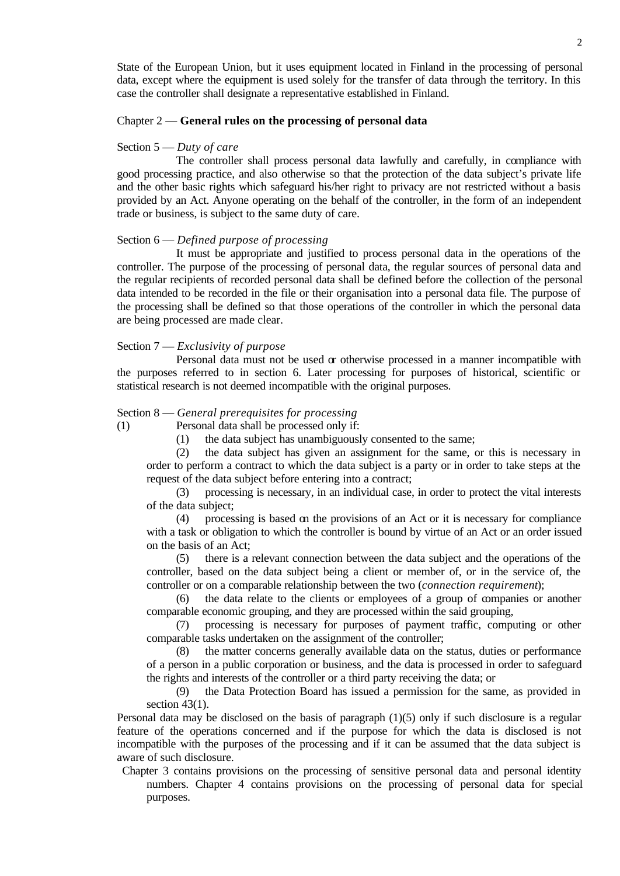State of the European Union, but it uses equipment located in Finland in the processing of personal data, except where the equipment is used solely for the transfer of data through the territory. In this case the controller shall designate a representative established in Finland.

#### Chapter 2 — **General rules on the processing of personal data**

#### Section 5 — *Duty of care*

The controller shall process personal data lawfully and carefully, in compliance with good processing practice, and also otherwise so that the protection of the data subject's private life and the other basic rights which safeguard his/her right to privacy are not restricted without a basis provided by an Act. Anyone operating on the behalf of the controller, in the form of an independent trade or business, is subject to the same duty of care.

#### Section 6 — *Defined purpose of processing*

It must be appropriate and justified to process personal data in the operations of the controller. The purpose of the processing of personal data, the regular sources of personal data and the regular recipients of recorded personal data shall be defined before the collection of the personal data intended to be recorded in the file or their organisation into a personal data file. The purpose of the processing shall be defined so that those operations of the controller in which the personal data are being processed are made clear.

#### Section 7 — *Exclusivity of purpose*

Personal data must not be used  $\alpha$  otherwise processed in a manner incompatible with the purposes referred to in section 6. Later processing for purposes of historical, scientific or statistical research is not deemed incompatible with the original purposes.

#### Section 8 — *General prerequisites for processing*

(1) Personal data shall be processed only if:

(1) the data subject has unambiguously consented to the same;

(2) the data subject has given an assignment for the same, or this is necessary in order to perform a contract to which the data subject is a party or in order to take steps at the request of the data subject before entering into a contract;

(3) processing is necessary, in an individual case, in order to protect the vital interests of the data subject;

(4) processing is based on the provisions of an Act or it is necessary for compliance with a task or obligation to which the controller is bound by virtue of an Act or an order issued on the basis of an Act;

(5) there is a relevant connection between the data subject and the operations of the controller, based on the data subject being a client or member of, or in the service of, the controller or on a comparable relationship between the two (*connection requirement*);

(6) the data relate to the clients or employees of a group of companies or another comparable economic grouping, and they are processed within the said grouping,

(7) processing is necessary for purposes of payment traffic, computing or other comparable tasks undertaken on the assignment of the controller;

(8) the matter concerns generally available data on the status, duties or performance of a person in a public corporation or business, and the data is processed in order to safeguard the rights and interests of the controller or a third party receiving the data; or

(9) the Data Protection Board has issued a permission for the same, as provided in section 43(1).

Personal data may be disclosed on the basis of paragraph (1)(5) only if such disclosure is a regular feature of the operations concerned and if the purpose for which the data is disclosed is not incompatible with the purposes of the processing and if it can be assumed that the data subject is aware of such disclosure.

 Chapter 3 contains provisions on the processing of sensitive personal data and personal identity numbers. Chapter 4 contains provisions on the processing of personal data for special purposes.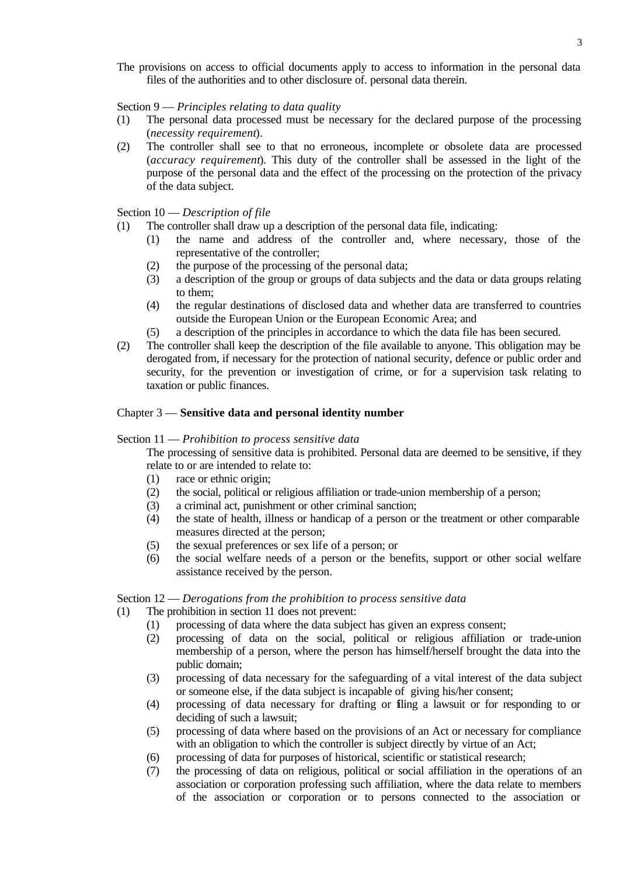The provisions on access to official documents apply to access to information in the personal data files of the authorities and to other disclosure of. personal data therein.

#### Section 9 — *Principles relating to data quality*

- (1) The personal data processed must be necessary for the declared purpose of the processing (*necessity requirement*).
- (2) The controller shall see to that no erroneous, incomplete or obsolete data are processed (*accuracy requirement*). This duty of the controller shall be assessed in the light of the purpose of the personal data and the effect of the processing on the protection of the privacy of the data subject.

### Section 10 — *Description of file*

- (1) The controller shall draw up a description of the personal data file, indicating:
	- (1) the name and address of the controller and, where necessary, those of the representative of the controller;
	- (2) the purpose of the processing of the personal data;
	- (3) a description of the group or groups of data subjects and the data or data groups relating to them;
	- (4) the regular destinations of disclosed data and whether data are transferred to countries outside the European Union or the European Economic Area; and
	- (5) a description of the principles in accordance to which the data file has been secured.
- (2) The controller shall keep the description of the file available to anyone. This obligation may be derogated from, if necessary for the protection of national security, defence or public order and security, for the prevention or investigation of crime, or for a supervision task relating to taxation or public finances.

### Chapter 3 — **Sensitive data and personal identity number**

#### Section 11 — *Prohibition to process sensitive data*

The processing of sensitive data is prohibited. Personal data are deemed to be sensitive, if they relate to or are intended to relate to:

- (1) race or ethnic origin;
- (2) the social, political or religious affiliation or trade-union membership of a person;
- (3) a criminal act, punishment or other criminal sanction;
- (4) the state of health, illness or handicap of a person or the treatment or other comparable measures directed at the person;
- (5) the sexual preferences or sex life of a person; or
- (6) the social welfare needs of a person or the benefits, support or other social welfare assistance received by the person.

#### Section 12 — *Derogations from the prohibition to process sensitive data*

- (1) The prohibition in section 11 does not prevent:
	- (1) processing of data where the data subject has given an express consent;
	- (2) processing of data on the social, political or religious affiliation or trade-union membership of a person, where the person has himself/herself brought the data into the public domain;
	- (3) processing of data necessary for the safeguarding of a vital interest of the data subject or someone else, if the data subject is incapable of giving his/her consent;
	- (4) processing of data necessary for drafting or filing a lawsuit or for responding to or deciding of such a lawsuit;
	- (5) processing of data where based on the provisions of an Act or necessary for compliance with an obligation to which the controller is subject directly by virtue of an Act;
	- (6) processing of data for purposes of historical, scientific or statistical research;
	- (7) the processing of data on religious, political or social affiliation in the operations of an association or corporation professing such affiliation, where the data relate to members of the association or corporation or to persons connected to the association or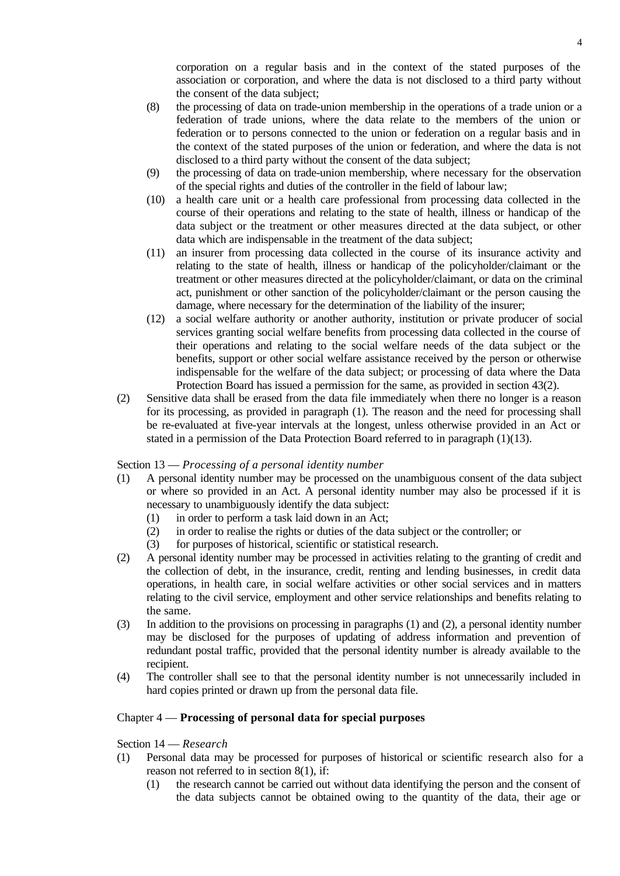corporation on a regular basis and in the context of the stated purposes of the association or corporation, and where the data is not disclosed to a third party without the consent of the data subject;

- (8) the processing of data on trade-union membership in the operations of a trade union or a federation of trade unions, where the data relate to the members of the union or federation or to persons connected to the union or federation on a regular basis and in the context of the stated purposes of the union or federation, and where the data is not disclosed to a third party without the consent of the data subject;
- (9) the processing of data on trade-union membership, where necessary for the observation of the special rights and duties of the controller in the field of labour law;
- (10) a health care unit or a health care professional from processing data collected in the course of their operations and relating to the state of health, illness or handicap of the data subject or the treatment or other measures directed at the data subject, or other data which are indispensable in the treatment of the data subject;
- (11) an insurer from processing data collected in the course of its insurance activity and relating to the state of health, illness or handicap of the policyholder/claimant or the treatment or other measures directed at the policyholder/claimant, or data on the criminal act, punishment or other sanction of the policyholder/claimant or the person causing the damage, where necessary for the determination of the liability of the insurer;
- (12) a social welfare authority or another authority, institution or private producer of social services granting social welfare benefits from processing data collected in the course of their operations and relating to the social welfare needs of the data subject or the benefits, support or other social welfare assistance received by the person or otherwise indispensable for the welfare of the data subject; or processing of data where the Data Protection Board has issued a permission for the same, as provided in section 43(2).
- (2) Sensitive data shall be erased from the data file immediately when there no longer is a reason for its processing, as provided in paragraph (1). The reason and the need for processing shall be re-evaluated at five-year intervals at the longest, unless otherwise provided in an Act or stated in a permission of the Data Protection Board referred to in paragraph (1)(13).

# Section 13 — *Processing of a personal identity number*

- (1) A personal identity number may be processed on the unambiguous consent of the data subject or where so provided in an Act. A personal identity number may also be processed if it is necessary to unambiguously identify the data subject:
	- (1) in order to perform a task laid down in an Act;
	- (2) in order to realise the rights or duties of the data subject or the controller; or
	- (3) for purposes of historical, scientific or statistical research.
- (2) A personal identity number may be processed in activities relating to the granting of credit and the collection of debt, in the insurance, credit, renting and lending businesses, in credit data operations, in health care, in social welfare activities or other social services and in matters relating to the civil service, employment and other service relationships and benefits relating to the same.
- (3) In addition to the provisions on processing in paragraphs (1) and (2), a personal identity number may be disclosed for the purposes of updating of address information and prevention of redundant postal traffic, provided that the personal identity number is already available to the recipient.
- (4) The controller shall see to that the personal identity number is not unnecessarily included in hard copies printed or drawn up from the personal data file.

# Chapter 4 — **Processing of personal data for special purposes**

# Section 14 — *Research*

- (1) Personal data may be processed for purposes of historical or scientific research also for a reason not referred to in section 8(1), if:
	- (1) the research cannot be carried out without data identifying the person and the consent of the data subjects cannot be obtained owing to the quantity of the data, their age or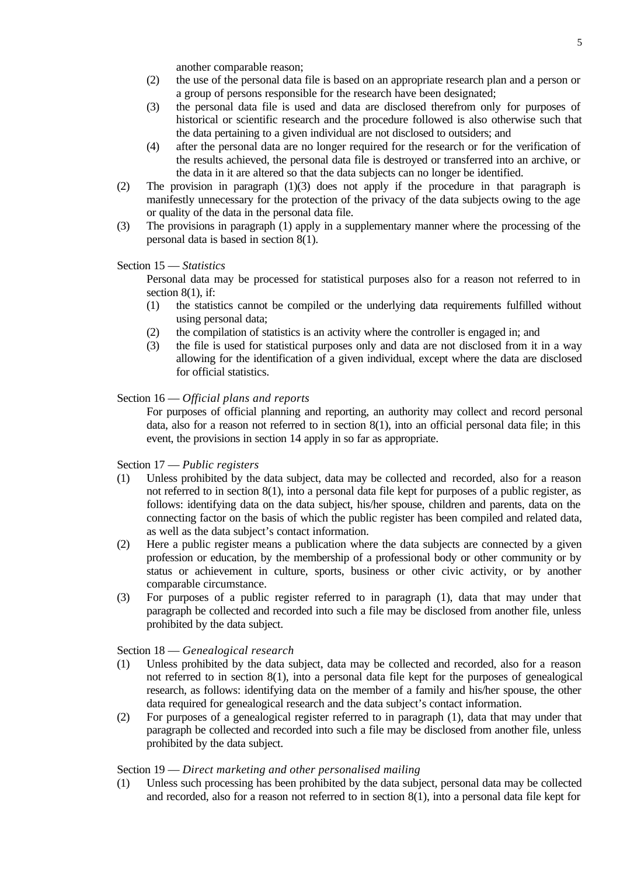another comparable reason;

- (2) the use of the personal data file is based on an appropriate research plan and a person or a group of persons responsible for the research have been designated;
- (3) the personal data file is used and data are disclosed therefrom only for purposes of historical or scientific research and the procedure followed is also otherwise such that the data pertaining to a given individual are not disclosed to outsiders; and
- (4) after the personal data are no longer required for the research or for the verification of the results achieved, the personal data file is destroyed or transferred into an archive, or the data in it are altered so that the data subjects can no longer be identified.
- (2) The provision in paragraph (1)(3) does not apply if the procedure in that paragraph is manifestly unnecessary for the protection of the privacy of the data subjects owing to the age or quality of the data in the personal data file.
- (3) The provisions in paragraph (1) apply in a supplementary manner where the processing of the personal data is based in section 8(1).

### Section 15 — *Statistics*

Personal data may be processed for statistical purposes also for a reason not referred to in section 8(1), if:

- (1) the statistics cannot be compiled or the underlying data requirements fulfilled without using personal data;
- (2) the compilation of statistics is an activity where the controller is engaged in; and
- (3) the file is used for statistical purposes only and data are not disclosed from it in a way allowing for the identification of a given individual, except where the data are disclosed for official statistics.

### Section 16 — *Official plans and reports*

For purposes of official planning and reporting, an authority may collect and record personal data, also for a reason not referred to in section  $8(1)$ , into an official personal data file; in this event, the provisions in section 14 apply in so far as appropriate.

#### Section 17 — *Public registers*

- (1) Unless prohibited by the data subject, data may be collected and recorded, also for a reason not referred to in section 8(1), into a personal data file kept for purposes of a public register, as follows: identifying data on the data subject, his/her spouse, children and parents, data on the connecting factor on the basis of which the public register has been compiled and related data, as well as the data subject's contact information.
- (2) Here a public register means a publication where the data subjects are connected by a given profession or education, by the membership of a professional body or other community or by status or achievement in culture, sports, business or other civic activity, or by another comparable circumstance.
- (3) For purposes of a public register referred to in paragraph (1), data that may under that paragraph be collected and recorded into such a file may be disclosed from another file, unless prohibited by the data subject.

# Section 18 — *Genealogical research*

- (1) Unless prohibited by the data subject, data may be collected and recorded, also for a reason not referred to in section 8(1), into a personal data file kept for the purposes of genealogical research, as follows: identifying data on the member of a family and his/her spouse, the other data required for genealogical research and the data subject's contact information.
- (2) For purposes of a genealogical register referred to in paragraph (1), data that may under that paragraph be collected and recorded into such a file may be disclosed from another file, unless prohibited by the data subject.

# Section 19 — *Direct marketing and other personalised mailing*

(1) Unless such processing has been prohibited by the data subject, personal data may be collected and recorded, also for a reason not referred to in section 8(1), into a personal data file kept for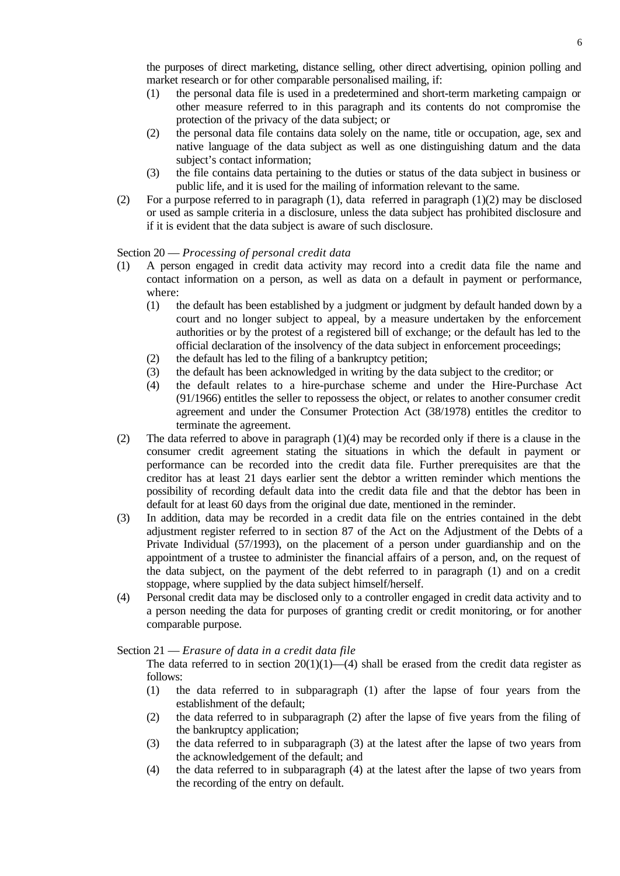the purposes of direct marketing, distance selling, other direct advertising, opinion polling and market research or for other comparable personalised mailing, if:

- (1) the personal data file is used in a predetermined and short-term marketing campaign or other measure referred to in this paragraph and its contents do not compromise the protection of the privacy of the data subject; or
- (2) the personal data file contains data solely on the name, title or occupation, age, sex and native language of the data subject as well as one distinguishing datum and the data subject's contact information;
- (3) the file contains data pertaining to the duties or status of the data subject in business or public life, and it is used for the mailing of information relevant to the same.
- (2) For a purpose referred to in paragraph (1), data referred in paragraph  $(1)(2)$  may be disclosed or used as sample criteria in a disclosure, unless the data subject has prohibited disclosure and if it is evident that the data subject is aware of such disclosure.

# Section 20 — *Processing of personal credit data*

- (1) A person engaged in credit data activity may record into a credit data file the name and contact information on a person, as well as data on a default in payment or performance, where:
	- (1) the default has been established by a judgment or judgment by default handed down by a court and no longer subject to appeal, by a measure undertaken by the enforcement authorities or by the protest of a registered bill of exchange; or the default has led to the official declaration of the insolvency of the data subject in enforcement proceedings;
	- (2) the default has led to the filing of a bankruptcy petition;
	- (3) the default has been acknowledged in writing by the data subject to the creditor; or
	- (4) the default relates to a hire-purchase scheme and under the Hire-Purchase Act (91/1966) entitles the seller to repossess the object, or relates to another consumer credit agreement and under the Consumer Protection Act (38/1978) entitles the creditor to terminate the agreement.
- (2) The data referred to above in paragraph (1)(4) may be recorded only if there is a clause in the consumer credit agreement stating the situations in which the default in payment or performance can be recorded into the credit data file. Further prerequisites are that the creditor has at least 21 days earlier sent the debtor a written reminder which mentions the possibility of recording default data into the credit data file and that the debtor has been in default for at least 60 days from the original due date, mentioned in the reminder.
- (3) In addition, data may be recorded in a credit data file on the entries contained in the debt adjustment register referred to in section 87 of the Act on the Adjustment of the Debts of a Private Individual (57/1993), on the placement of a person under guardianship and on the appointment of a trustee to administer the financial affairs of a person, and, on the request of the data subject, on the payment of the debt referred to in paragraph (1) and on a credit stoppage, where supplied by the data subject himself/herself.
- (4) Personal credit data may be disclosed only to a controller engaged in credit data activity and to a person needing the data for purposes of granting credit or credit monitoring, or for another comparable purpose.

#### Section 21 — *Erasure of data in a credit data file*

The data referred to in section  $20(1)(1)$ —(4) shall be erased from the credit data register as follows:

- (1) the data referred to in subparagraph (1) after the lapse of four years from the establishment of the default;
- (2) the data referred to in subparagraph (2) after the lapse of five years from the filing of the bankruptcy application;
- (3) the data referred to in subparagraph (3) at the latest after the lapse of two years from the acknowledgement of the default; and
- (4) the data referred to in subparagraph (4) at the latest after the lapse of two years from the recording of the entry on default.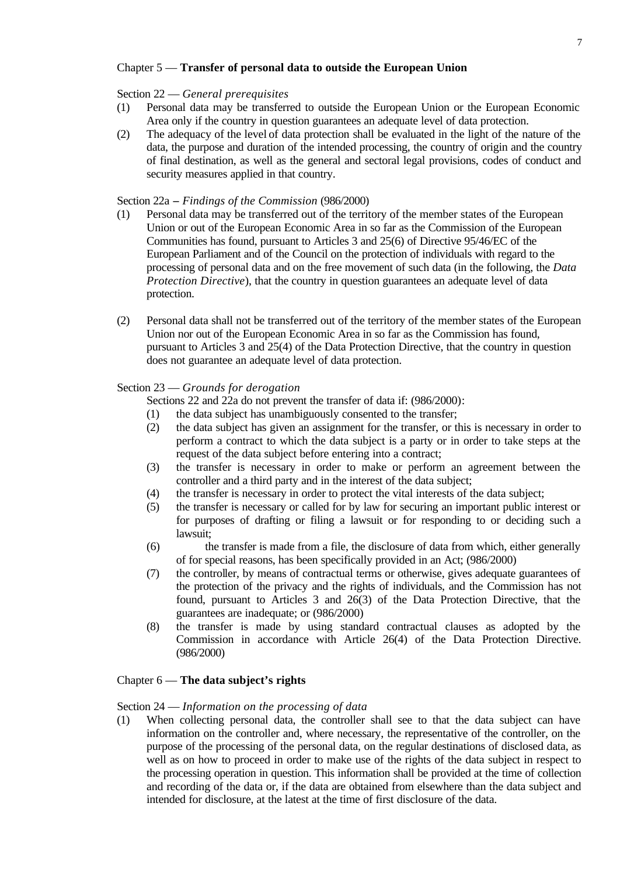# Chapter 5 — **Transfer of personal data to outside the European Union**

# Section 22 — *General prerequisites*

- (1) Personal data may be transferred to outside the European Union or the European Economic Area only if the country in question guarantees an adequate level of data protection.
- (2) The adequacy of the level of data protection shall be evaluated in the light of the nature of the data, the purpose and duration of the intended processing, the country of origin and the country of final destination, as well as the general and sectoral legal provisions, codes of conduct and security measures applied in that country.

### Section 22a **–** *Findings of the Commission* (986/2000)

- (1) Personal data may be transferred out of the territory of the member states of the European Union or out of the European Economic Area in so far as the Commission of the European Communities has found, pursuant to Articles 3 and 25(6) of Directive 95/46/EC of the European Parliament and of the Council on the protection of individuals with regard to the processing of personal data and on the free movement of such data (in the following, the *Data Protection Directive*), that the country in question guarantees an adequate level of data protection.
- (2) Personal data shall not be transferred out of the territory of the member states of the European Union nor out of the European Economic Area in so far as the Commission has found, pursuant to Articles 3 and 25(4) of the Data Protection Directive, that the country in question does not guarantee an adequate level of data protection.

# Section 23 — *Grounds for derogation*

Sections 22 and 22a do not prevent the transfer of data if: (986/2000):

- (1) the data subject has unambiguously consented to the transfer;
- (2) the data subject has given an assignment for the transfer, or this is necessary in order to perform a contract to which the data subject is a party or in order to take steps at the request of the data subject before entering into a contract;
- (3) the transfer is necessary in order to make or perform an agreement between the controller and a third party and in the interest of the data subject;
- (4) the transfer is necessary in order to protect the vital interests of the data subject;
- (5) the transfer is necessary or called for by law for securing an important public interest or for purposes of drafting or filing a lawsuit or for responding to or deciding such a lawsuit;
- (6) the transfer is made from a file, the disclosure of data from which, either generally of for special reasons, has been specifically provided in an Act; (986/2000)
- (7) the controller, by means of contractual terms or otherwise, gives adequate guarantees of the protection of the privacy and the rights of individuals, and the Commission has not found, pursuant to Articles 3 and 26(3) of the Data Protection Directive, that the guarantees are inadequate; or (986/2000)
- (8) the transfer is made by using standard contractual clauses as adopted by the Commission in accordance with Article 26(4) of the Data Protection Directive. (986/2000)

# Chapter 6 — **The data subject's rights**

#### Section 24 — *Information on the processing of data*

(1) When collecting personal data, the controller shall see to that the data subject can have information on the controller and, where necessary, the representative of the controller, on the purpose of the processing of the personal data, on the regular destinations of disclosed data, as well as on how to proceed in order to make use of the rights of the data subject in respect to the processing operation in question. This information shall be provided at the time of collection and recording of the data or, if the data are obtained from elsewhere than the data subject and intended for disclosure, at the latest at the time of first disclosure of the data.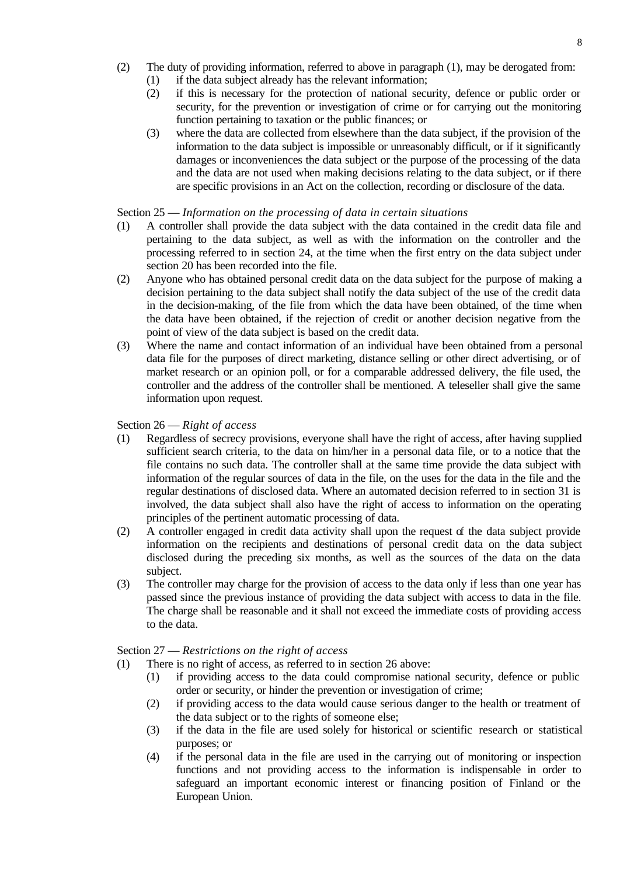- (2) The duty of providing information, referred to above in paragraph (1), may be derogated from:
	- (1) if the data subject already has the relevant information;
	- (2) if this is necessary for the protection of national security, defence or public order or security, for the prevention or investigation of crime or for carrying out the monitoring function pertaining to taxation or the public finances; or
	- (3) where the data are collected from elsewhere than the data subject, if the provision of the information to the data subject is impossible or unreasonably difficult, or if it significantly damages or inconveniences the data subject or the purpose of the processing of the data and the data are not used when making decisions relating to the data subject, or if there are specific provisions in an Act on the collection, recording or disclosure of the data.

# Section 25 — *Information on the processing of data in certain situations*

- (1) A controller shall provide the data subject with the data contained in the credit data file and pertaining to the data subject, as well as with the information on the controller and the processing referred to in section 24, at the time when the first entry on the data subject under section 20 has been recorded into the file.
- (2) Anyone who has obtained personal credit data on the data subject for the purpose of making a decision pertaining to the data subject shall notify the data subject of the use of the credit data in the decision-making, of the file from which the data have been obtained, of the time when the data have been obtained, if the rejection of credit or another decision negative from the point of view of the data subject is based on the credit data.
- (3) Where the name and contact information of an individual have been obtained from a personal data file for the purposes of direct marketing, distance selling or other direct advertising, or of market research or an opinion poll, or for a comparable addressed delivery, the file used, the controller and the address of the controller shall be mentioned. A teleseller shall give the same information upon request.

# Section 26 — *Right of access*

- (1) Regardless of secrecy provisions, everyone shall have the right of access, after having supplied sufficient search criteria, to the data on him/her in a personal data file, or to a notice that the file contains no such data. The controller shall at the same time provide the data subject with information of the regular sources of data in the file, on the uses for the data in the file and the regular destinations of disclosed data. Where an automated decision referred to in section 31 is involved, the data subject shall also have the right of access to information on the operating principles of the pertinent automatic processing of data.
- (2) A controller engaged in credit data activity shall upon the request of the data subject provide information on the recipients and destinations of personal credit data on the data subject disclosed during the preceding six months, as well as the sources of the data on the data subject.
- (3) The controller may charge for the provision of access to the data only if less than one year has passed since the previous instance of providing the data subject with access to data in the file. The charge shall be reasonable and it shall not exceed the immediate costs of providing access to the data.

# Section 27 — *Restrictions on the right of access*

- (1) There is no right of access, as referred to in section 26 above:
	- (1) if providing access to the data could compromise national security, defence or public order or security, or hinder the prevention or investigation of crime;
	- (2) if providing access to the data would cause serious danger to the health or treatment of the data subject or to the rights of someone else;
	- (3) if the data in the file are used solely for historical or scientific research or statistical purposes; or
	- (4) if the personal data in the file are used in the carrying out of monitoring or inspection functions and not providing access to the information is indispensable in order to safeguard an important economic interest or financing position of Finland or the European Union.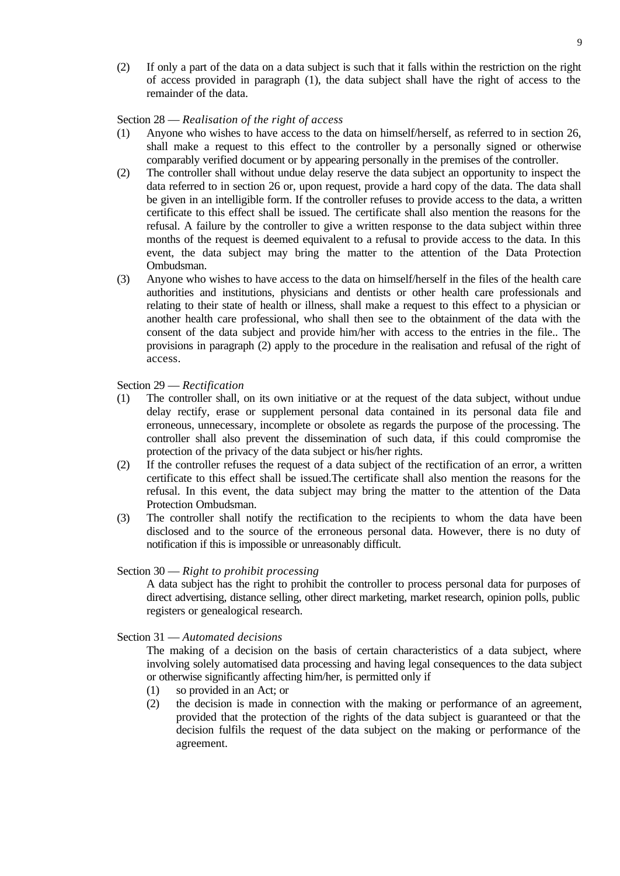(2) If only a part of the data on a data subject is such that it falls within the restriction on the right of access provided in paragraph (1), the data subject shall have the right of access to the remainder of the data.

#### Section 28 — *Realisation of the right of access*

- (1) Anyone who wishes to have access to the data on himself/herself, as referred to in section 26, shall make a request to this effect to the controller by a personally signed or otherwise comparably verified document or by appearing personally in the premises of the controller.
- (2) The controller shall without undue delay reserve the data subject an opportunity to inspect the data referred to in section 26 or, upon request, provide a hard copy of the data. The data shall be given in an intelligible form. If the controller refuses to provide access to the data, a written certificate to this effect shall be issued. The certificate shall also mention the reasons for the refusal. A failure by the controller to give a written response to the data subject within three months of the request is deemed equivalent to a refusal to provide access to the data. In this event, the data subject may bring the matter to the attention of the Data Protection Ombudsman.
- (3) Anyone who wishes to have access to the data on himself/herself in the files of the health care authorities and institutions, physicians and dentists or other health care professionals and relating to their state of health or illness, shall make a request to this effect to a physician or another health care professional, who shall then see to the obtainment of the data with the consent of the data subject and provide him/her with access to the entries in the file.. The provisions in paragraph (2) apply to the procedure in the realisation and refusal of the right of access.

Section 29 — *Rectification*

- (1) The controller shall, on its own initiative or at the request of the data subject, without undue delay rectify, erase or supplement personal data contained in its personal data file and erroneous, unnecessary, incomplete or obsolete as regards the purpose of the processing. The controller shall also prevent the dissemination of such data, if this could compromise the protection of the privacy of the data subject or his/her rights.
- (2) If the controller refuses the request of a data subject of the rectification of an error, a written certificate to this effect shall be issued.The certificate shall also mention the reasons for the refusal. In this event, the data subject may bring the matter to the attention of the Data Protection Ombudsman.
- (3) The controller shall notify the rectification to the recipients to whom the data have been disclosed and to the source of the erroneous personal data. However, there is no duty of notification if this is impossible or unreasonably difficult.

#### Section 30 — *Right to prohibit processing*

A data subject has the right to prohibit the controller to process personal data for purposes of direct advertising, distance selling, other direct marketing, market research, opinion polls, public registers or genealogical research.

Section 31 — *Automated decisions*

The making of a decision on the basis of certain characteristics of a data subject, where involving solely automatised data processing and having legal consequences to the data subject or otherwise significantly affecting him/her, is permitted only if

- (1) so provided in an Act; or
- (2) the decision is made in connection with the making or performance of an agreement, provided that the protection of the rights of the data subject is guaranteed or that the decision fulfils the request of the data subject on the making or performance of the agreement.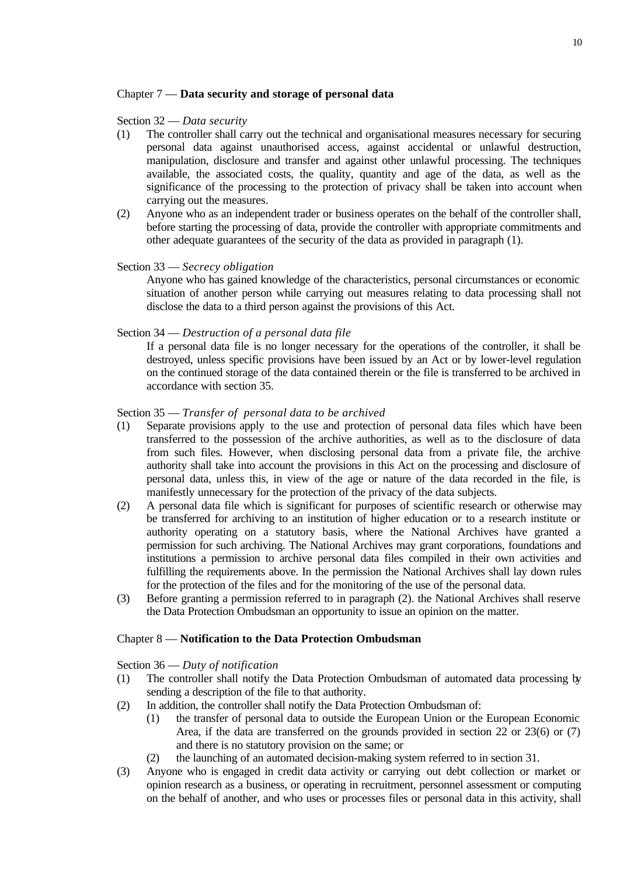# Chapter 7 — **Data security and storage of personal data**

#### Section 32 — *Data security*

- (1) The controller shall carry out the technical and organisational measures necessary for securing personal data against unauthorised access, against accidental or unlawful destruction, manipulation, disclosure and transfer and against other unlawful processing. The techniques available, the associated costs, the quality, quantity and age of the data, as well as the significance of the processing to the protection of privacy shall be taken into account when carrying out the measures.
- (2) Anyone who as an independent trader or business operates on the behalf of the controller shall, before starting the processing of data, provide the controller with appropriate commitments and other adequate guarantees of the security of the data as provided in paragraph (1).

### Section 33 — *Secrecy obligation*

Anyone who has gained knowledge of the characteristics, personal circumstances or economic situation of another person while carrying out measures relating to data processing shall not disclose the data to a third person against the provisions of this Act.

#### Section 34 — *Destruction of a personal data file*

If a personal data file is no longer necessary for the operations of the controller, it shall be destroyed, unless specific provisions have been issued by an Act or by lower-level regulation on the continued storage of the data contained therein or the file is transferred to be archived in accordance with section 35.

#### Section 35 — *Transfer of personal data to be archived*

- (1) Separate provisions apply to the use and protection of personal data files which have been transferred to the possession of the archive authorities, as well as to the disclosure of data from such files. However, when disclosing personal data from a private file, the archive authority shall take into account the provisions in this Act on the processing and disclosure of personal data, unless this, in view of the age or nature of the data recorded in the file, is manifestly unnecessary for the protection of the privacy of the data subjects.
- (2) A personal data file which is significant for purposes of scientific research or otherwise may be transferred for archiving to an institution of higher education or to a research institute or authority operating on a statutory basis, where the National Archives have granted a permission for such archiving. The National Archives may grant corporations, foundations and institutions a permission to archive personal data files compiled in their own activities and fulfilling the requirements above. In the permission the National Archives shall lay down rules for the protection of the files and for the monitoring of the use of the personal data.
- (3) Before granting a permission referred to in paragraph (2). the National Archives shall reserve the Data Protection Ombudsman an opportunity to issue an opinion on the matter.

#### Chapter 8 — **Notification to the Data Protection Ombudsman**

Section 36 — *Duty of notification*

- (1) The controller shall notify the Data Protection Ombudsman of automated data processing by sending a description of the file to that authority.
- (2) In addition, the controller shall notify the Data Protection Ombudsman of:
	- (1) the transfer of personal data to outside the European Union or the European Economic Area, if the data are transferred on the grounds provided in section 22 or 23(6) or (7) and there is no statutory provision on the same; or
	- (2) the launching of an automated decision-making system referred to in section 31.
- (3) Anyone who is engaged in credit data activity or carrying out debt collection or market or opinion research as a business, or operating in recruitment, personnel assessment or computing on the behalf of another, and who uses or processes files or personal data in this activity, shall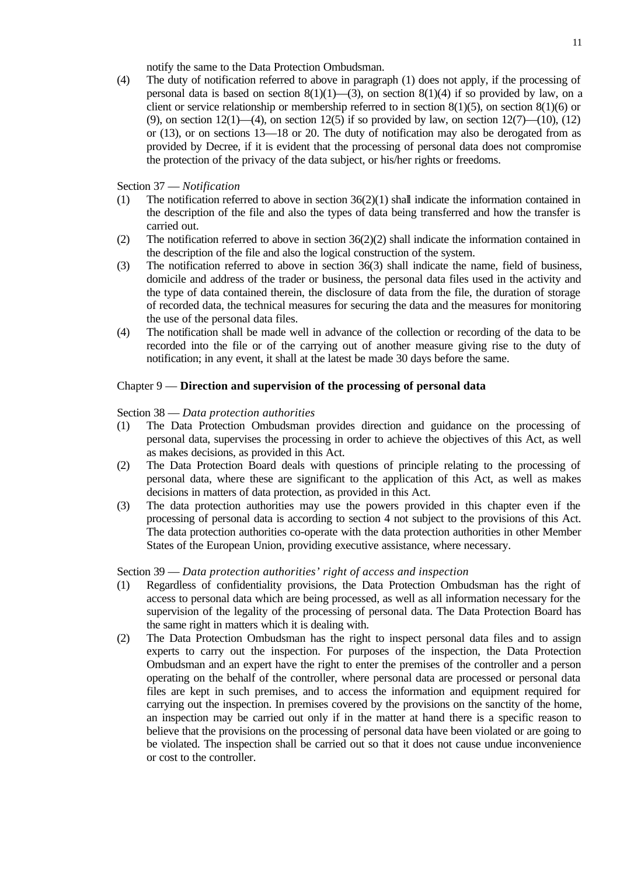notify the same to the Data Protection Ombudsman.

(4) The duty of notification referred to above in paragraph (1) does not apply, if the processing of personal data is based on section  $8(1)(1)$ —(3), on section  $8(1)(4)$  if so provided by law, on a client or service relationship or membership referred to in section  $8(1)(5)$ , on section  $8(1)(6)$  or (9), on section  $12(1)$ —(4), on section  $12(5)$  if so provided by law, on section  $12(7)$ —(10), (12) or (13), or on sections 13—18 or 20. The duty of notification may also be derogated from as provided by Decree, if it is evident that the processing of personal data does not compromise the protection of the privacy of the data subject, or his/her rights or freedoms.

Section 37 — *Notification*

- (1) The notification referred to above in section  $36(2)(1)$  shall indicate the information contained in the description of the file and also the types of data being transferred and how the transfer is carried out.
- (2) The notification referred to above in section 36(2)(2) shall indicate the information contained in the description of the file and also the logical construction of the system.
- (3) The notification referred to above in section 36(3) shall indicate the name, field of business, domicile and address of the trader or business, the personal data files used in the activity and the type of data contained therein, the disclosure of data from the file, the duration of storage of recorded data, the technical measures for securing the data and the measures for monitoring the use of the personal data files.
- (4) The notification shall be made well in advance of the collection or recording of the data to be recorded into the file or of the carrying out of another measure giving rise to the duty of notification; in any event, it shall at the latest be made 30 days before the same.

# Chapter 9 — **Direction and supervision of the processing of personal data**

Section 38 — *Data protection authorities*

- (1) The Data Protection Ombudsman provides direction and guidance on the processing of personal data, supervises the processing in order to achieve the objectives of this Act, as well as makes decisions, as provided in this Act.
- (2) The Data Protection Board deals with questions of principle relating to the processing of personal data, where these are significant to the application of this Act, as well as makes decisions in matters of data protection, as provided in this Act.
- (3) The data protection authorities may use the powers provided in this chapter even if the processing of personal data is according to section 4 not subject to the provisions of this Act. The data protection authorities co-operate with the data protection authorities in other Member States of the European Union, providing executive assistance, where necessary.

Section 39 — *Data protection authorities' right of access and inspection*

- (1) Regardless of confidentiality provisions, the Data Protection Ombudsman has the right of access to personal data which are being processed, as well as all information necessary for the supervision of the legality of the processing of personal data. The Data Protection Board has the same right in matters which it is dealing with.
- (2) The Data Protection Ombudsman has the right to inspect personal data files and to assign experts to carry out the inspection. For purposes of the inspection, the Data Protection Ombudsman and an expert have the right to enter the premises of the controller and a person operating on the behalf of the controller, where personal data are processed or personal data files are kept in such premises, and to access the information and equipment required for carrying out the inspection. In premises covered by the provisions on the sanctity of the home, an inspection may be carried out only if in the matter at hand there is a specific reason to believe that the provisions on the processing of personal data have been violated or are going to be violated. The inspection shall be carried out so that it does not cause undue inconvenience or cost to the controller.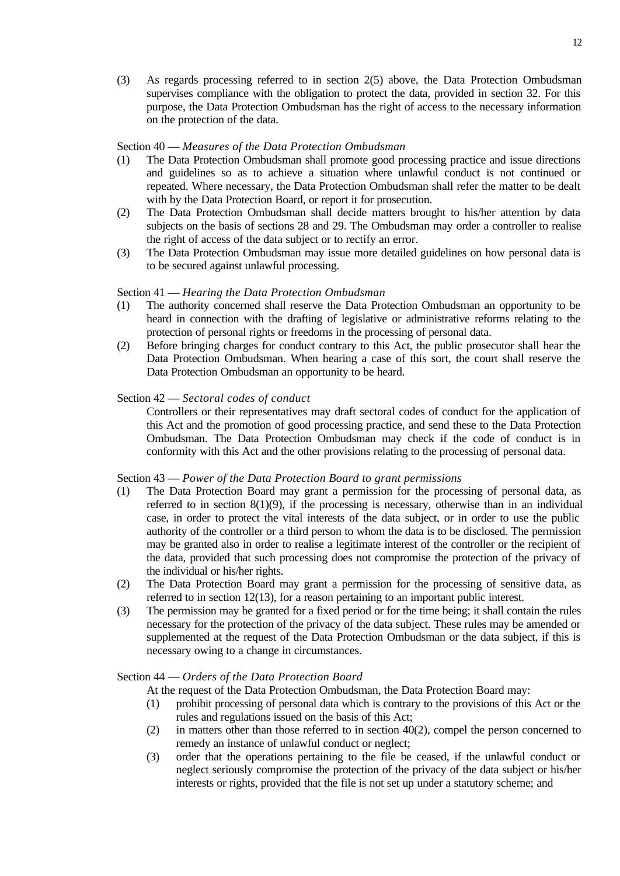(3) As regards processing referred to in section 2(5) above, the Data Protection Ombudsman supervises compliance with the obligation to protect the data, provided in section 32. For this purpose, the Data Protection Ombudsman has the right of access to the necessary information on the protection of the data.

# Section 40 — *Measures of the Data Protection Ombudsman*

- (1) The Data Protection Ombudsman shall promote good processing practice and issue directions and guidelines so as to achieve a situation where unlawful conduct is not continued or repeated. Where necessary, the Data Protection Ombudsman shall refer the matter to be dealt with by the Data Protection Board, or report it for prosecution.
- (2) The Data Protection Ombudsman shall decide matters brought to his/her attention by data subjects on the basis of sections 28 and 29. The Ombudsman may order a controller to realise the right of access of the data subject or to rectify an error.
- (3) The Data Protection Ombudsman may issue more detailed guidelines on how personal data is to be secured against unlawful processing.

# Section 41 — *Hearing the Data Protection Ombudsman*

- (1) The authority concerned shall reserve the Data Protection Ombudsman an opportunity to be heard in connection with the drafting of legislative or administrative reforms relating to the protection of personal rights or freedoms in the processing of personal data.
- (2) Before bringing charges for conduct contrary to this Act, the public prosecutor shall hear the Data Protection Ombudsman. When hearing a case of this sort, the court shall reserve the Data Protection Ombudsman an opportunity to be heard.

# Section 42 — *Sectoral codes of conduct*

Controllers or their representatives may draft sectoral codes of conduct for the application of this Act and the promotion of good processing practice, and send these to the Data Protection Ombudsman. The Data Protection Ombudsman may check if the code of conduct is in conformity with this Act and the other provisions relating to the processing of personal data.

# Section 43 — *Power of the Data Protection Board to grant permissions*

- (1) The Data Protection Board may grant a permission for the processing of personal data, as referred to in section  $8(1)(9)$ , if the processing is necessary, otherwise than in an individual case, in order to protect the vital interests of the data subject, or in order to use the public authority of the controller or a third person to whom the data is to be disclosed. The permission may be granted also in order to realise a legitimate interest of the controller or the recipient of the data, provided that such processing does not compromise the protection of the privacy of the individual or his/her rights.
- (2) The Data Protection Board may grant a permission for the processing of sensitive data, as referred to in section 12(13), for a reason pertaining to an important public interest.
- (3) The permission may be granted for a fixed period or for the time being; it shall contain the rules necessary for the protection of the privacy of the data subject. These rules may be amended or supplemented at the request of the Data Protection Ombudsman or the data subject, if this is necessary owing to a change in circumstances.

# Section 44 — *Orders of the Data Protection Board*

- At the request of the Data Protection Ombudsman, the Data Protection Board may:
- (1) prohibit processing of personal data which is contrary to the provisions of this Act or the rules and regulations issued on the basis of this Act;
- (2) in matters other than those referred to in section  $40(2)$ , compel the person concerned to remedy an instance of unlawful conduct or neglect;
- (3) order that the operations pertaining to the file be ceased, if the unlawful conduct or neglect seriously compromise the protection of the privacy of the data subject or his/her interests or rights, provided that the file is not set up under a statutory scheme; and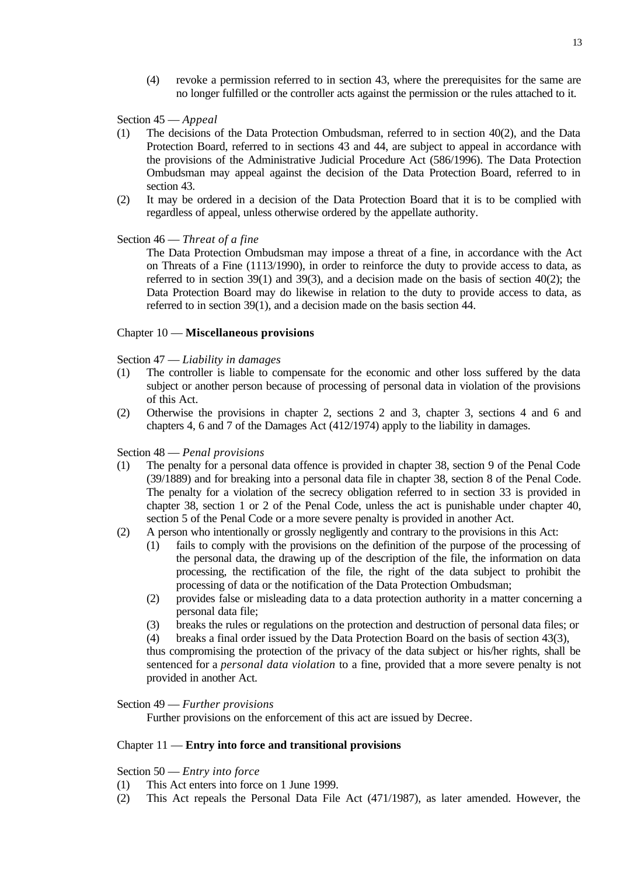(4) revoke a permission referred to in section 43, where the prerequisites for the same are no longer fulfilled or the controller acts against the permission or the rules attached to it.

Section 45 — *Appeal*

- (1) The decisions of the Data Protection Ombudsman, referred to in section 40(2), and the Data Protection Board, referred to in sections 43 and 44, are subject to appeal in accordance with the provisions of the Administrative Judicial Procedure Act (586/1996). The Data Protection Ombudsman may appeal against the decision of the Data Protection Board, referred to in section 43.
- (2) It may be ordered in a decision of the Data Protection Board that it is to be complied with regardless of appeal, unless otherwise ordered by the appellate authority.

Section 46 — *Threat of a fine*

The Data Protection Ombudsman may impose a threat of a fine, in accordance with the Act on Threats of a Fine (1113/1990), in order to reinforce the duty to provide access to data, as referred to in section 39(1) and 39(3), and a decision made on the basis of section  $40(2)$ ; the Data Protection Board may do likewise in relation to the duty to provide access to data, as referred to in section 39(1), and a decision made on the basis section 44.

#### Chapter 10 — **Miscellaneous provisions**

Section 47 — *Liability in damages*

- (1) The controller is liable to compensate for the economic and other loss suffered by the data subject or another person because of processing of personal data in violation of the provisions of this Act.
- (2) Otherwise the provisions in chapter 2, sections 2 and 3, chapter 3, sections 4 and 6 and chapters 4, 6 and 7 of the Damages Act (412/1974) apply to the liability in damages.

Section 48 — *Penal provisions*

- (1) The penalty for a personal data offence is provided in chapter 38, section 9 of the Penal Code (39/1889) and for breaking into a personal data file in chapter 38, section 8 of the Penal Code. The penalty for a violation of the secrecy obligation referred to in section 33 is provided in chapter 38, section 1 or 2 of the Penal Code, unless the act is punishable under chapter 40, section 5 of the Penal Code or a more severe penalty is provided in another Act.
- (2) A person who intentionally or grossly negligently and contrary to the provisions in this Act:
	- (1) fails to comply with the provisions on the definition of the purpose of the processing of the personal data, the drawing up of the description of the file, the information on data processing, the rectification of the file, the right of the data subject to prohibit the processing of data or the notification of the Data Protection Ombudsman;
	- (2) provides false or misleading data to a data protection authority in a matter concerning a personal data file;
	- (3) breaks the rules or regulations on the protection and destruction of personal data files; or

(4) breaks a final order issued by the Data Protection Board on the basis of section 43(3),

thus compromising the protection of the privacy of the data subject or his/her rights, shall be sentenced for a *personal data violation* to a fine, provided that a more severe penalty is not provided in another Act.

### Section 49 — *Further provisions*

Further provisions on the enforcement of this act are issued by Decree.

# Chapter 11 — **Entry into force and transitional provisions**

Section 50 — *Entry into force*

- (1) This Act enters into force on 1 June 1999.
- (2) This Act repeals the Personal Data File Act (471/1987), as later amended. However, the